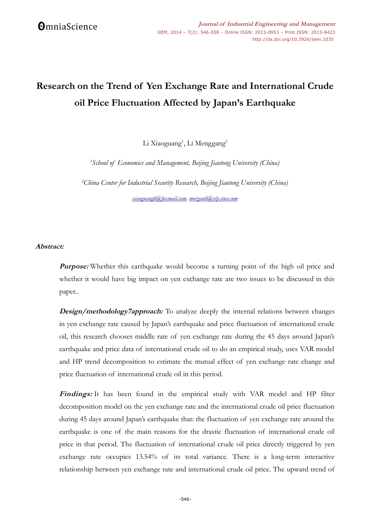# **Research on the Trend of Yen Exchange Rate and International Crude oil Price Fluctuation Affected by Japan's Earthquake**

Li Xiaoguang<sup>1</sup>, Li Menggang<sup>2</sup>

*<sup>1</sup>School of Economics and Management, Beijing Jiaotong University (China)*

*<sup>2</sup>China Center for Industrial Security Research, Beijing Jiaotong University (China) [xiaoguangli@foxmail.com,](mailto:xiaoguangli@foxmail.com) [morganli@vip.sina.com](mailto:morganli@vip.sina.com)*

## **Abstract:**

**Purpose:** Whether this earthquake would become a turning point of the high oil price and whether it would have big impact on yen exchange rate are two issues to be discussed in this paper..

**Design/methodology7approach:** To analyze deeply the internal relations between changes in yen exchange rate caused by Japan's earthquake and price fluctuation of international crude oil, this research chooses middle rate of yen exchange rate during the 45 days around Japan's earthquake and price data of international crude oil to do an empirical study, uses VAR model and HP trend decomposition to estimate the mutual effect of yen exchange rate change and price fluctuation of international crude oil in this period.

Findings: It has been found in the empirical study with VAR model and HP filter decomposition model on the yen exchange rate and the international crude oil price fluctuation during 45 days around Japan's earthquake that: the fluctuation of yen exchange rate around the earthquake is one of the main reasons for the drastic fluctuation of international crude oil price in that period. The fluctuation of international crude oil price directly triggered by yen exchange rate occupies 13.54% of its total variance. There is a long-term interactive relationship between yen exchange rate and international crude oil price. The upward trend of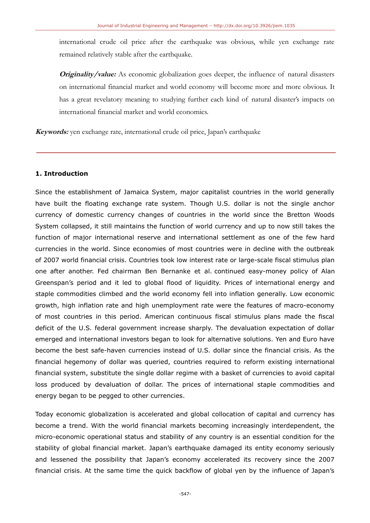international crude oil price after the earthquake was obvious, while yen exchange rate remained relatively stable after the earthquake.

**Originality/value:** As economic globalization goes deeper, the influence of natural disasters on international financial market and world economy will become more and more obvious. It has a great revelatory meaning to studying further each kind of natural disaster's impacts on international financial market and world economics.

**Keywords:** yen exchange rate, international crude oil price, Japan's earthquake

## **1. Introduction**

Since the establishment of Jamaica System, major capitalist countries in the world generally have built the floating exchange rate system. Though U.S. dollar is not the single anchor currency of domestic currency changes of countries in the world since the Bretton Woods System collapsed, it still maintains the function of world currency and up to now still takes the function of major international reserve and international settlement as one of the few hard currencies in the world. Since economies of most countries were in decline with the outbreak of 2007 world financial crisis. Countries took low interest rate or large-scale fiscal stimulus plan one after another. Fed chairman Ben Bernanke et al. continued easy-money policy of Alan Greenspan's period and it led to global flood of liquidity. Prices of international energy and staple commodities climbed and the world economy fell into inflation generally. Low economic growth, high inflation rate and high unemployment rate were the features of macro-economy of most countries in this period. American continuous fiscal stimulus plans made the fiscal deficit of the U.S. federal government increase sharply. The devaluation expectation of dollar emerged and international investors began to look for alternative solutions. Yen and Euro have become the best safe-haven currencies instead of U.S. dollar since the financial crisis. As the financial hegemony of dollar was queried, countries required to reform existing international financial system, substitute the single dollar regime with a basket of currencies to avoid capital loss produced by devaluation of dollar. The prices of international staple commodities and energy began to be pegged to other currencies.

Today economic globalization is accelerated and global collocation of capital and currency has become a trend. With the world financial markets becoming increasingly interdependent, the micro-economic operational status and stability of any country is an essential condition for the stability of global financial market. Japan's earthquake damaged its entity economy seriously and lessened the possibility that Japan's economy accelerated its recovery since the 2007 financial crisis. At the same time the quick backflow of global yen by the influence of Japan's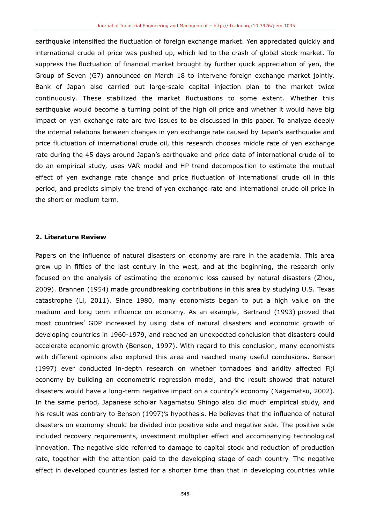earthquake intensified the fluctuation of foreign exchange market. Yen appreciated quickly and international crude oil price was pushed up, which led to the crash of global stock market. To suppress the fluctuation of financial market brought by further quick appreciation of yen, the Group of Seven (G7) announced on March 18 to intervene foreign exchange market jointly. Bank of Japan also carried out large-scale capital injection plan to the market twice continuously. These stabilized the market fluctuations to some extent. Whether this earthquake would become a turning point of the high oil price and whether it would have big impact on yen exchange rate are two issues to be discussed in this paper. To analyze deeply the internal relations between changes in yen exchange rate caused by Japan's earthquake and price fluctuation of international crude oil, this research chooses middle rate of yen exchange rate during the 45 days around Japan's earthquake and price data of international crude oil to do an empirical study, uses VAR model and HP trend decomposition to estimate the mutual effect of yen exchange rate change and price fluctuation of international crude oil in this period, and predicts simply the trend of yen exchange rate and international crude oil price in the short or medium term.

#### **2. Literature Review**

Papers on the influence of natural disasters on economy are rare in the academia. This area grew up in fifties of the last century in the west, and at the beginning, the research only focused on the analysis of estimating the economic loss caused by natural disasters (Zhou, 2009). Brannen (1954) made groundbreaking contributions in this area by studying U.S. Texas catastrophe (Li, 2011). Since 1980, many economists began to put a high value on the medium and long term influence on economy. As an example, Bertrand (1993) proved that most countries' GDP increased by using data of natural disasters and economic growth of developing countries in 1960-1979, and reached an unexpected conclusion that disasters could accelerate economic growth (Benson, 1997). With regard to this conclusion, many economists with different opinions also explored this area and reached many useful conclusions. Benson (1997) ever conducted in-depth research on whether tornadoes and aridity affected Fiji economy by building an econometric regression model, and the result showed that natural disasters would have a long-term negative impact on a country's economy (Nagamatsu, 2002). In the same period, Japanese scholar Nagamatsu Shingo also did much empirical study, and his result was contrary to Benson (1997)'s hypothesis. He believes that the influence of natural disasters on economy should be divided into positive side and negative side. The positive side included recovery requirements, investment multiplier effect and accompanying technological innovation. The negative side referred to damage to capital stock and reduction of production rate, together with the attention paid to the developing stage of each country. The negative effect in developed countries lasted for a shorter time than that in developing countries while

-548-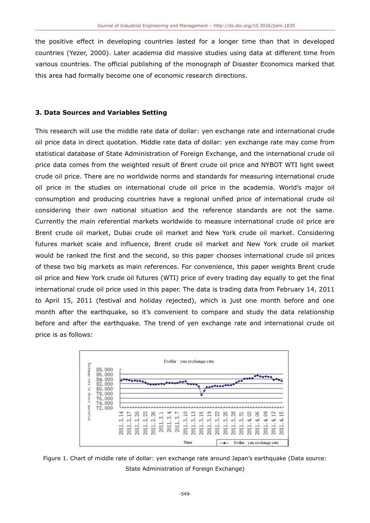the positive effect in developing countries lasted for a longer time than that in developed countries (Yezer, 2000). Later academia did massive studies using data at different time from various countries. The official publishing of the monograph of Disaster Economics marked that this area had formally become one of economic research directions.

## **3. Data Sources and Variables Setting**

This research will use the middle rate data of dollar: yen exchange rate and international crude oil price data in direct quotation. Middle rate data of dollar: yen exchange rate may come from statistical database of State Administration of Foreign Exchange, and the international crude oil price data comes from the weighted result of Brent crude oil price and NYBOT WTI light sweet crude oil price. There are no worldwide norms and standards for measuring international crude oil price in the studies on international crude oil price in the academia. World's major oil consumption and producing countries have a regional unified price of international crude oil considering their own national situation and the reference standards are not the same. Currently the main referential markets worldwide to measure international crude oil price are Brent crude oil market, Dubai crude oil market and New York crude oil market. Considering futures market scale and influence, Brent crude oil market and New York crude oil market would be ranked the first and the second, so this paper chooses international crude oil prices of these two big markets as main references. For convenience, this paper weights Brent crude oil price and New York crude oil futures (WTI) price of every trading day equally to get the final international crude oil price used in this paper. The data is trading data from February 14, 2011 to April 15, 2011 (festival and holiday rejected), which is just one month before and one month after the earthquake, so it's convenient to compare and study the data relationship before and after the earthquake. The trend of yen exchange rate and international crude oil price is as follows:



Figure 1. Chart of middle rate of dollar: yen exchange rate around Japan's earthquake (Data source: State Administration of Foreign Exchange)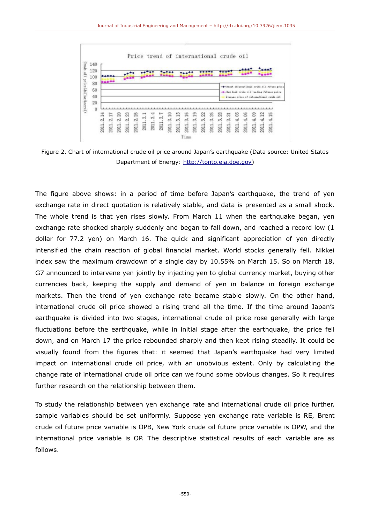

Figure 2. Chart of international crude oil price around Japan's earthquake (Data source: United States Department of Energy: [http://tonto.eia.doe.gov\)](http://tonto.eia.doe.gov/)

The figure above shows: in a period of time before Japan's earthquake, the trend of yen exchange rate in direct quotation is relatively stable, and data is presented as a small shock. The whole trend is that yen rises slowly. From March 11 when the earthquake began, yen exchange rate shocked sharply suddenly and began to fall down, and reached a record low (1 dollar for 77.2 yen) on March 16. The quick and significant appreciation of yen directly intensified the chain reaction of global financial market. World stocks generally fell. Nikkei index saw the maximum drawdown of a single day by 10.55% on March 15. So on March 18, G7 announced to intervene yen jointly by injecting yen to global currency market, buying other currencies back, keeping the supply and demand of yen in balance in foreign exchange markets. Then the trend of yen exchange rate became stable slowly. On the other hand, international crude oil price showed a rising trend all the time. If the time around Japan's earthquake is divided into two stages, international crude oil price rose generally with large fluctuations before the earthquake, while in initial stage after the earthquake, the price fell down, and on March 17 the price rebounded sharply and then kept rising steadily. It could be visually found from the figures that: it seemed that Japan's earthquake had very limited impact on international crude oil price, with an unobvious extent. Only by calculating the change rate of international crude oil price can we found some obvious changes. So it requires further research on the relationship between them.

To study the relationship between yen exchange rate and international crude oil price further, sample variables should be set uniformly. Suppose yen exchange rate variable is RE, Brent crude oil future price variable is OPB, New York crude oil future price variable is OPW, and the international price variable is OP. The descriptive statistical results of each variable are as follows.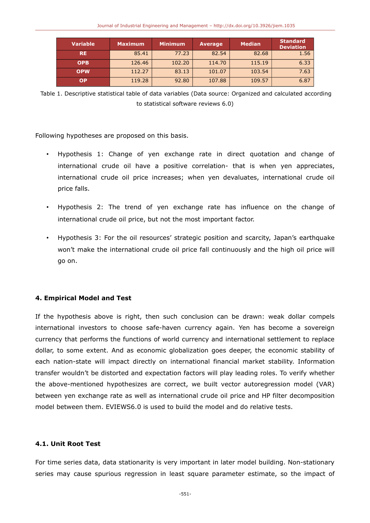| <b>Variable</b> | <b>Maximum</b> | <b>Minimum</b> | <b>Average</b> | <b>Median</b> | <b>Standard</b><br><b>Deviation</b> |
|-----------------|----------------|----------------|----------------|---------------|-------------------------------------|
| <b>RE</b>       | 85.41          | 77.23          | 82.54          | 82.68         | 1.56                                |
| <b>OPB</b>      | 126.46         | 102.20         | 114.70         | 115.19        | 6.33                                |
| <b>OPW</b>      | 112.27         | 83.13          | 101.07         | 103.54        | 7.63                                |
| ΟP              | 119.28         | 92.80          | 107.88         | 109.57        | 6.87                                |

 Table 1. Descriptive statistical table of data variables (Data source: Organized and calculated according to statistical software reviews 6.0)

Following hypotheses are proposed on this basis.

- Hypothesis 1: Change of yen exchange rate in direct quotation and change of international crude oil have a positive correlation- that is when yen appreciates, international crude oil price increases; when yen devaluates, international crude oil price falls.
- Hypothesis 2: The trend of yen exchange rate has influence on the change of international crude oil price, but not the most important factor.
- Hypothesis 3: For the oil resources' strategic position and scarcity, Japan's earthquake won't make the international crude oil price fall continuously and the high oil price will go on.

## **4. Empirical Model and Test**

If the hypothesis above is right, then such conclusion can be drawn: weak dollar compels international investors to choose safe-haven currency again. Yen has become a sovereign currency that performs the functions of world currency and international settlement to replace dollar, to some extent. And as economic globalization goes deeper, the economic stability of each nation-state will impact directly on international financial market stability. Information transfer wouldn't be distorted and expectation factors will play leading roles. To verify whether the above-mentioned hypothesizes are correct, we built vector autoregression model (VAR) between yen exchange rate as well as international crude oil price and HP filter decomposition model between them. EVIEWS6.0 is used to build the model and do relative tests.

## **4.1. Unit Root Test**

For time series data, data stationarity is very important in later model building. Non-stationary series may cause spurious regression in least square parameter estimate, so the impact of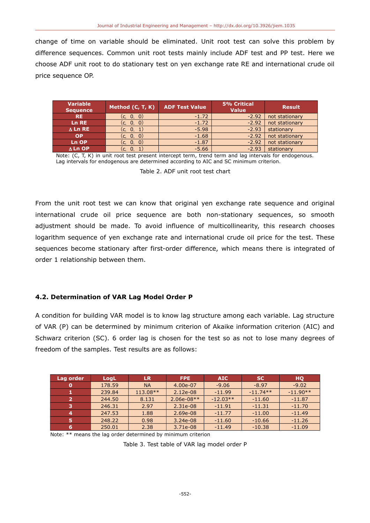change of time on variable should be eliminated. Unit root test can solve this problem by difference sequences. Common unit root tests mainly include ADF test and PP test. Here we choose ADF unit root to do stationary test on yen exchange rate RE and international crude oil price sequence OP.

| <b>Variable</b><br><b>Sequence</b> | Method $(C, T, K)$ | <b>ADF Test Value</b> | <b>5% Critical</b><br><b>Value</b> | <b>Result</b>  |
|------------------------------------|--------------------|-----------------------|------------------------------------|----------------|
| <b>RE</b>                          | (c, 0, 0)          | $-1.72$               | $-2.92$                            | not stationary |
| <b>Ln RE</b>                       | (c, 0, 0)          | $-1.72$               | $-2.92$                            | not stationary |
| $\Delta$ Ln RE                     | 0, 1)<br>(c.       | $-5.98$               | $-2.93$                            | stationary     |
| <b>OP</b>                          | (c, 0, 0)          | $-1.68$               | $-2.92$                            | not stationary |
| Ln OP                              | (0, 0)<br>(c.      | $-1.87$               | $-2.92$                            | not stationary |
| $\Delta$ Ln OP                     | $\mathbf{0}$       | $-5.66$               | $-2.93$                            | stationary     |

Note: (C, T, K) in unit root test present intercept term, trend term and lag intervals for endogenous. Lag intervals for endogenous are determined according to AIC and SC minimum criterion.

Table 2. ADF unit root test chart

From the unit root test we can know that original yen exchange rate sequence and original international crude oil price sequence are both non-stationary sequences, so smooth adjustment should be made. To avoid influence of multicollinearity, this research chooses logarithm sequence of yen exchange rate and international crude oil price for the test. These sequences become stationary after first-order difference, which means there is integrated of order 1 relationship between them.

## **4.2. Determination of VAR Lag Model Order P**

A condition for building VAR model is to know lag structure among each variable. Lag structure of VAR (P) can be determined by minimum criterion of Akaike information criterion (AIC) and Schwarz criterion (SC). 6 order lag is chosen for the test so as not to lose many degrees of freedom of the samples. Test results are as follows:

| Lag order | LogL   | <b>LR</b>  | FPE.         | AIC        | <b>SC</b>  | <b>HO</b>  |
|-----------|--------|------------|--------------|------------|------------|------------|
|           | 178.59 | <b>NA</b>  | 4.00e-07     | $-9.06$    | $-8.97$    | $-9.02$    |
|           | 239.84 | $113.08**$ | 2.12e-08     | $-11.99$   | $-11.74**$ | $-11.90**$ |
|           | 244.50 | 8.131      | $2.06e-08**$ | $-12.03**$ | $-11.60$   | $-11.87$   |
| з         | 246.31 | 2.97       | 2.31e-08     | $-11.91$   | $-11.31$   | $-11.70$   |
| 4         | 247.53 | 1.88       | 2.69e-08     | $-11.77$   | $-11.00$   | $-11.49$   |
| 5         | 248.22 | 0.98       | $3.24e-08$   | $-11.60$   | $-10.66$   | $-11.26$   |
|           | 250.01 | 2.38       | 3.71e-08     | $-11.49$   | $-10.38$   | $-11.09$   |

Note: \*\* means the lag order determined by minimum criterion

Table 3. Test table of VAR lag model order P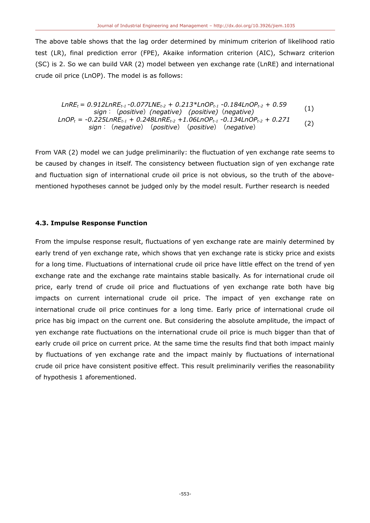The above table shows that the lag order determined by minimum criterion of likelihood ratio test (LR), final prediction error (FPE), Akaike information criterion (AIC), Schwarz criterion (SC) is 2. So we can build VAR (2) model between yen exchange rate (LnRE) and international crude oil price (LnOP). The model is as follows:

$$
LnRE_{t} = 0.912LnRE_{t-1} - 0.077LNE_{t-2} + 0.213 * LnOP_{t-1} - 0.184LnOP_{t-2} + 0.59
$$
  
\nsign: (positive) (negative) (positive) (negative)  
\nLnOP<sub>t</sub> = -0.225LnRE\_{t-1} + 0.248LnRE\_{t-2} + 1.06LnOP\_{t-1} - 0.134LnOP\_{t-2} + 0.271  
\nsign: (negative) (positive) (positive) (negative)

From VAR (2) model we can judge preliminarily: the fluctuation of yen exchange rate seems to be caused by changes in itself. The consistency between fluctuation sign of yen exchange rate and fluctuation sign of international crude oil price is not obvious, so the truth of the abovementioned hypotheses cannot be judged only by the model result. Further research is needed

#### **4.3. Impulse Response Function**

From the impulse response result, fluctuations of yen exchange rate are mainly determined by early trend of yen exchange rate, which shows that yen exchange rate is sticky price and exists for a long time. Fluctuations of international crude oil price have little effect on the trend of yen exchange rate and the exchange rate maintains stable basically. As for international crude oil price, early trend of crude oil price and fluctuations of yen exchange rate both have big impacts on current international crude oil price. The impact of yen exchange rate on international crude oil price continues for a long time. Early price of international crude oil price has big impact on the current one. But considering the absolute amplitude, the impact of yen exchange rate fluctuations on the international crude oil price is much bigger than that of early crude oil price on current price. At the same time the results find that both impact mainly by fluctuations of yen exchange rate and the impact mainly by fluctuations of international crude oil price have consistent positive effect. This result preliminarily verifies the reasonability of hypothesis 1 aforementioned.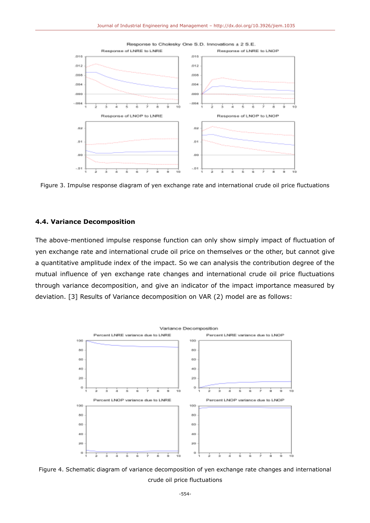

Figure 3. Impulse response diagram of yen exchange rate and international crude oil price fluctuations

## **4.4. Variance Decomposition**

The above-mentioned impulse response function can only show simply impact of fluctuation of yen exchange rate and international crude oil price on themselves or the other, but cannot give a quantitative amplitude index of the impact. So we can analysis the contribution degree of the mutual influence of yen exchange rate changes and international crude oil price fluctuations through variance decomposition, and give an indicator of the impact importance measured by deviation. [3] Results of Variance decomposition on VAR (2) model are as follows:



Figure 4. Schematic diagram of variance decomposition of yen exchange rate changes and international crude oil price fluctuations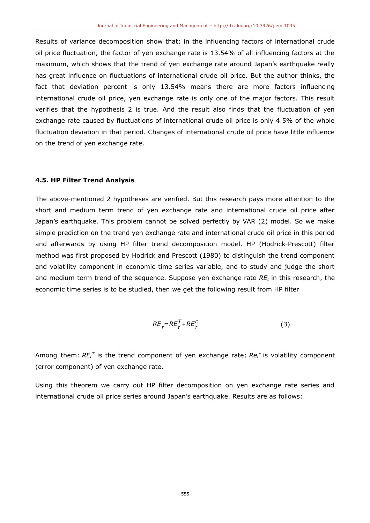Results of variance decomposition show that: in the influencing factors of international crude oil price fluctuation, the factor of yen exchange rate is 13.54% of all influencing factors at the maximum, which shows that the trend of yen exchange rate around Japan's earthquake really has great influence on fluctuations of international crude oil price. But the author thinks, the fact that deviation percent is only 13.54% means there are more factors influencing international crude oil price, yen exchange rate is only one of the major factors. This result verifies that the hypothesis 2 is true. And the result also finds that the fluctuation of yen exchange rate caused by fluctuations of international crude oil price is only 4.5% of the whole fluctuation deviation in that period. Changes of international crude oil price have little influence on the trend of yen exchange rate.

## **4.5. HP Filter Trend Analysis**

The above-mentioned 2 hypotheses are verified. But this research pays more attention to the short and medium term trend of yen exchange rate and international crude oil price after Japan's earthquake. This problem cannot be solved perfectly by VAR (2) model. So we make simple prediction on the trend yen exchange rate and international crude oil price in this period and afterwards by using HP filter trend decomposition model. HP (Hodrick-Prescott) filter method was first proposed by Hodrick and Prescott (1980) to distinguish the trend component and volatility component in economic time series variable, and to study and judge the short and medium term trend of the sequence. Suppose yen exchange rate *REt* in this research, the economic time series is to be studied, then we get the following result from HP filter

$$
RE_t = RE_t^T + RE_t^C \tag{3}
$$

Among them:  $RE_t^{\mathcal{T}}$  is the trend component of yen exchange rate;  $Re_t^c$  is volatility component (error component) of yen exchange rate.

Using this theorem we carry out HP filter decomposition on yen exchange rate series and international crude oil price series around Japan's earthquake. Results are as follows: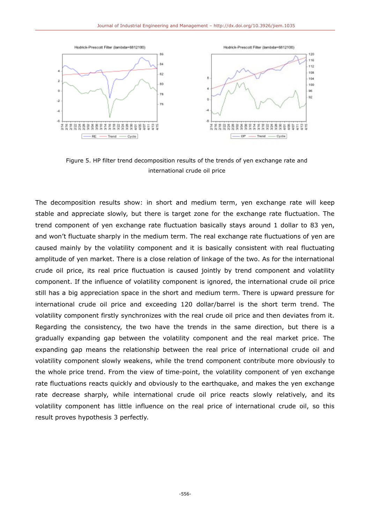

Figure 5. HP filter trend decomposition results of the trends of yen exchange rate and international crude oil price

The decomposition results show: in short and medium term, yen exchange rate will keep stable and appreciate slowly, but there is target zone for the exchange rate fluctuation. The trend component of yen exchange rate fluctuation basically stays around 1 dollar to 83 yen, and won't fluctuate sharply in the medium term. The real exchange rate fluctuations of yen are caused mainly by the volatility component and it is basically consistent with real fluctuating amplitude of yen market. There is a close relation of linkage of the two. As for the international crude oil price, its real price fluctuation is caused jointly by trend component and volatility component. If the influence of volatility component is ignored, the international crude oil price still has a big appreciation space in the short and medium term. There is upward pressure for international crude oil price and exceeding 120 dollar/barrel is the short term trend. The volatility component firstly synchronizes with the real crude oil price and then deviates from it. Regarding the consistency, the two have the trends in the same direction, but there is a gradually expanding gap between the volatility component and the real market price. The expanding gap means the relationship between the real price of international crude oil and volatility component slowly weakens, while the trend component contribute more obviously to the whole price trend. From the view of time-point, the volatility component of yen exchange rate fluctuations reacts quickly and obviously to the earthquake, and makes the yen exchange rate decrease sharply, while international crude oil price reacts slowly relatively, and its volatility component has little influence on the real price of international crude oil, so this result proves hypothesis 3 perfectly.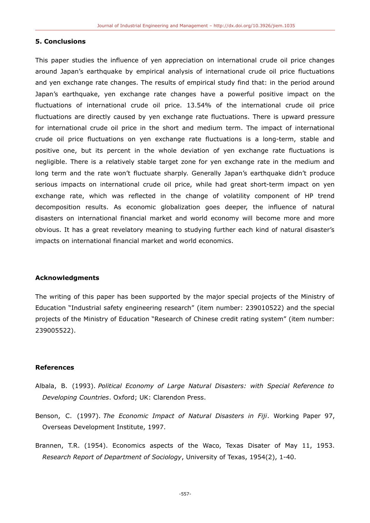#### **5. Conclusions**

This paper studies the influence of yen appreciation on international crude oil price changes around Japan's earthquake by empirical analysis of international crude oil price fluctuations and yen exchange rate changes. The results of empirical study find that: in the period around Japan's earthquake, yen exchange rate changes have a powerful positive impact on the fluctuations of international crude oil price. 13.54% of the international crude oil price fluctuations are directly caused by yen exchange rate fluctuations. There is upward pressure for international crude oil price in the short and medium term. The impact of international crude oil price fluctuations on yen exchange rate fluctuations is a long-term, stable and positive one, but its percent in the whole deviation of yen exchange rate fluctuations is negligible. There is a relatively stable target zone for yen exchange rate in the medium and long term and the rate won't fluctuate sharply. Generally Japan's earthquake didn't produce serious impacts on international crude oil price, while had great short-term impact on yen exchange rate, which was reflected in the change of volatility component of HP trend decomposition results. As economic globalization goes deeper, the influence of natural disasters on international financial market and world economy will become more and more obvious. It has a great revelatory meaning to studying further each kind of natural disaster's impacts on international financial market and world economics.

#### **Acknowledgments**

The writing of this paper has been supported by the major special projects of the Ministry of Education "Industrial safety engineering research" (item number: 239010522) and the special projects of the Ministry of Education "Research of Chinese credit rating system" (item number: 239005522).

#### **References**

- Albala, B. (1993). *Political Economy of Large Natural Disasters: with Special Reference to Developing Countries*. Oxford; UK: Clarendon Press.
- Benson, C. (1997). *The Economic Impact of Natural Disasters in Fiji*. Working Paper 97, Overseas Development Institute, 1997.
- Brannen, T.R. (1954). Economics aspects of the Waco, Texas Disater of May 11, 1953. *Research Report of Department of Sociology*, University of Texas, 1954(2), 1-40.